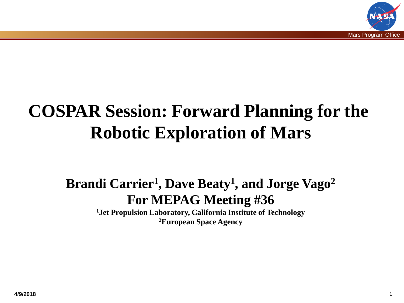

# **COSPAR Session: Forward Planning for the Robotic Exploration of Mars**

#### **Brandi Carrier1, Dave Beaty1, and Jorge Vago2 For MEPAG Meeting #36**

**1Jet Propulsion Laboratory, California Institute of Technology 2European Space Agency**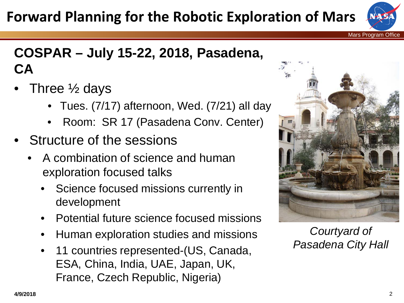## **Forward Planning for the Robotic Exploration of Mars**



Mars Program Office

### **COSPAR – July 15-22, 2018, Pasadena, CA**

- Three  $\frac{1}{2}$  days
	- Tues. (7/17) afternoon, Wed. (7/21) all day
	- Room: SR 17 (Pasadena Conv. Center)
- Structure of the sessions
	- A combination of science and human exploration focused talks
		- Science focused missions currently in development
		- Potential future science focused missions
		- Human exploration studies and missions
		- 11 countries represented-(US, Canada, ESA, China, India, UAE, Japan, UK, France, Czech Republic, Nigeria)



*Courtyard of Pasadena City Hall*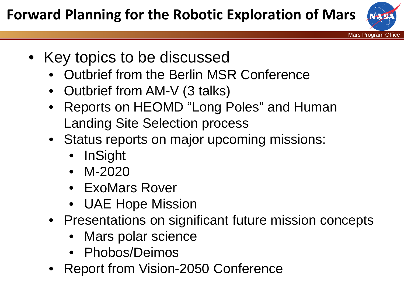

- Key topics to be discussed
	- Outbrief from the Berlin MSR Conference
	- Outbrief from AM-V (3 talks)
	- Reports on HEOMD "Long Poles" and Human Landing Site Selection process
	- Status reports on major upcoming missions:
		- InSight
		- M-2020
		- ExoMars Rover
		- UAE Hope Mission
	- Presentations on significant future mission concepts
		- Mars polar science
		- Phobos/Deimos
	- Report from Vision-2050 Conference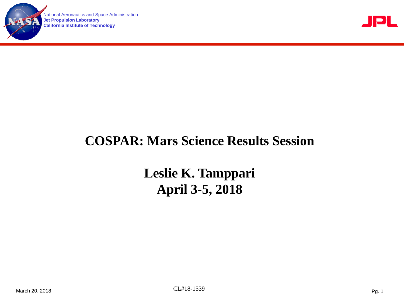

National Aeronautics and Space Administration **Jet Propulsion Laboratory California Institute of Technology**



#### **COSPAR: Mars Science Results Session**

**Leslie K. Tamppari April 3-5, 2018**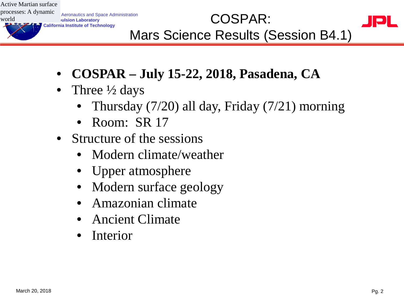Active Martian surface processes: A dynamic world

**Aeronautics and Space Administration Jet Propulsion Laboratory** Refonautics and Space Administration<br>
COSPAR:<br>
California Institute of Technology

- Mars Science Results (Session B4.1)
- **COSPAR – July 15-22, 2018, Pasadena, CA**
- Three  $\frac{1}{2}$  days
	- Thursday (7/20) all day, Friday (7/21) morning
	- Room: SR 17
- Structure of the sessions
	- Modern climate/weather
	- Upper atmosphere
	- Modern surface geology
	- Amazonian climate
	- Ancient Climate
	- Interior